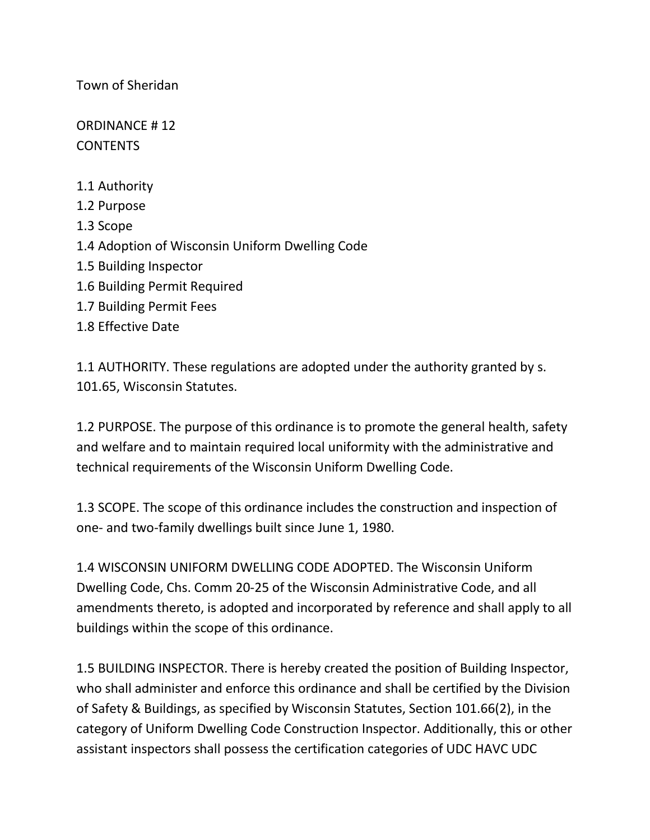Town of Sheridan

ORDINANCE # 12 **CONTENTS** 

- 1.1 Authority
- 1.2 Purpose
- 1.3 Scope
- 1.4 Adoption of Wisconsin Uniform Dwelling Code
- 1.5 Building Inspector
- 1.6 Building Permit Required
- 1.7 Building Permit Fees
- 1.8 Effective Date

1.1 AUTHORITY. These regulations are adopted under the authority granted by s. 101.65, Wisconsin Statutes.

1.2 PURPOSE. The purpose of this ordinance is to promote the general health, safety and welfare and to maintain required local uniformity with the administrative and technical requirements of the Wisconsin Uniform Dwelling Code.

1.3 SCOPE. The scope of this ordinance includes the construction and inspection of one- and two-family dwellings built since June 1, 1980.

1.4 WISCONSIN UNIFORM DWELLING CODE ADOPTED. The Wisconsin Uniform Dwelling Code, Chs. Comm 20-25 of the Wisconsin Administrative Code, and all amendments thereto, is adopted and incorporated by reference and shall apply to all buildings within the scope of this ordinance.

1.5 BUILDING INSPECTOR. There is hereby created the position of Building Inspector, who shall administer and enforce this ordinance and shall be certified by the Division of Safety & Buildings, as specified by Wisconsin Statutes, Section 101.66(2), in the category of Uniform Dwelling Code Construction Inspector. Additionally, this or other assistant inspectors shall possess the certification categories of UDC HAVC UDC